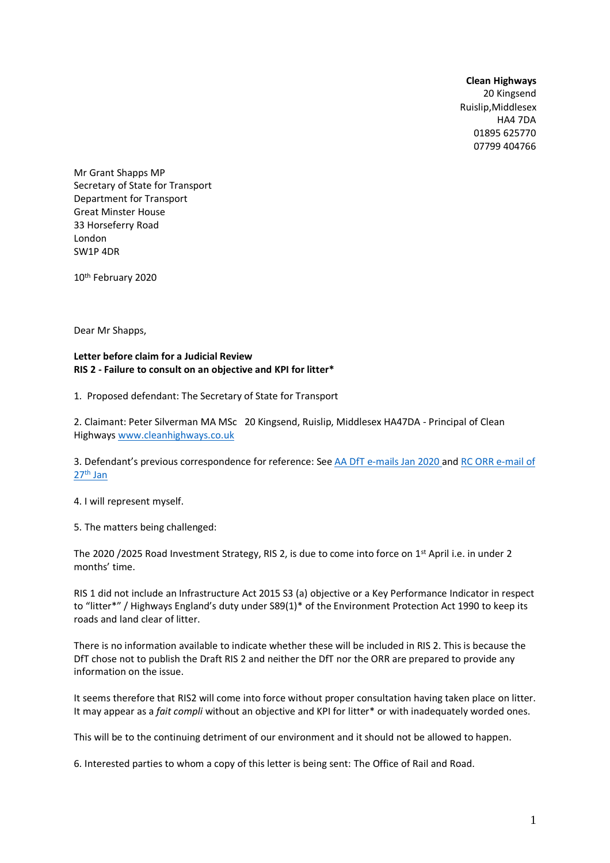#### **Clean Highways**

20 Kingsend Ruislip,Middlesex HA4 7DA 01895 625770 07799 404766

Mr Grant Shapps MP Secretary of State for Transport Department for Transport Great Minster House 33 Horseferry Road London SW1P 4DR

10th February 2020

Dear Mr Shapps,

### **Letter before claim for a Judicial Review RIS 2 - Failure to consult on an objective and KPI for litter\***

1. Proposed defendant: The Secretary of State for Transport

2. Claimant: Peter Silverman MA MSc 20 Kingsend, Ruislip, Middlesex HA47DA - Principal of Clean Highways [www.cleanhighways.co.uk](http://www.cleanhighways.co.uk/)

3. Defendant's previous correspondence for reference: Se[e AA DfT e-mails Jan 2020 a](https://www.cleanhighways.co.uk/wp-content/uploads/2020/02/AA-DfT-e-mails-Jan-2020-4.pdf)n[d RC ORR e-mail of](https://www.cleanhighways.co.uk/wp-content/uploads/2020/02/RC-ORR-e-mail-of-27th-Jan-2020.pdf)  27th [Jan](https://www.cleanhighways.co.uk/wp-content/uploads/2020/02/RC-ORR-e-mail-of-27th-Jan-2020.pdf)

4. I will represent myself.

5. The matters being challenged:

The 2020 /2025 Road Investment Strategy, RIS 2, is due to come into force on 1st April i.e. in under 2 months' time.

RIS 1 did not include an Infrastructure Act 2015 S3 (a) objective or a Key Performance Indicator in respect to "litter\*" / Highways England's duty under S89(1)\* of the Environment Protection Act 1990 to keep its roads and land clear of litter.

There is no information available to indicate whether these will be included in RIS 2. This is because the DfT chose not to publish the Draft RIS 2 and neither the DfT nor the ORR are prepared to provide any information on the issue.

It seems therefore that RIS2 will come into force without proper consultation having taken place on litter. It may appear as a *fait compli* without an objective and KPI for litter\* or with inadequately worded ones.

This will be to the continuing detriment of our environment and it should not be allowed to happen.

6. Interested parties to whom a copy of this letter is being sent: The Office of Rail and Road.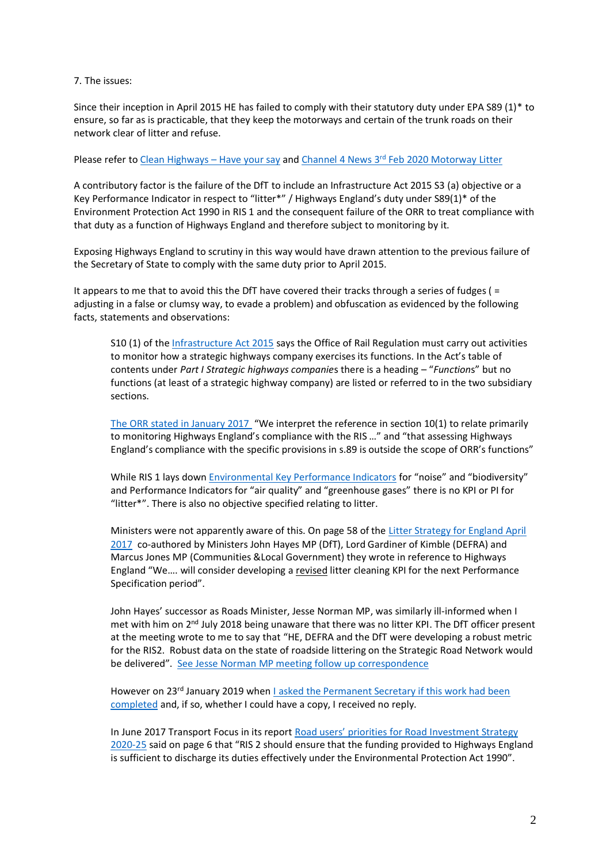### 7. The issues:

Since their inception in April 2015 HE has failed to comply with their statutory duty under EPA S89 (1)\* to ensure, so far as is practicable, that they keep the motorways and certain of the trunk roads on their network clear of litter and refuse.

# Please refer t[o Clean Highways](https://www.cleanhighways.co.uk/comments) – Have your say and Channel 4 News 3<sup>rd</sup> [Feb 2020 Motorway Litter](https://link.cleanhighways.co.uk/kfr7m)

A contributory factor is the failure of the DfT to include an Infrastructure Act 2015 S3 (a) objective or a Key Performance Indicator in respect to "litter\*" / Highways England's duty under S89(1)\* of the Environment Protection Act 1990 in RIS 1 and the consequent failure of the ORR to treat compliance with that duty as a function of Highways England and therefore subject to monitoring by it.

Exposing Highways England to scrutiny in this way would have drawn attention to the previous failure of the Secretary of State to comply with the same duty prior to April 2015.

It appears to me that to avoid this the DfT have covered their tracks through a series of fudges ( = adjusting in a false or clumsy way, to evade a problem) and obfuscation as evidenced by the following facts, statements and observations:

S10 (1) of th[e Infrastructure Act 2015](http://www.legislation.gov.uk/ukpga/2015/7/contents/enacted) says the Office of Rail Regulation must carry out activities to monitor how a strategic highways company exercises its functions. In the Act's table of contents under *Part I Strategic highways companie*s there is a heading – "*Function*s" but no functions (at least of a strategic highway company) are listed or referred to in the two subsidiary sections.

[The ORR stated in January 2017](https://www.cleanhighways.co.uk/wp-content/uploads/2019/01/ORR-to-PS-15_02_17-S89.pdf) "We interpret the reference in section 10(1) to relate primarily to monitoring Highways England's compliance with the RIS …" and "that assessing Highways England's compliance with the specific provisions in s.89 is outside the scope of ORR's functions"

While RIS 1 lays dow[n Environmental Key Performance Indicators](https://www.cleanhighways.co.uk/dft/environmental-kpis-in-ris-2015-2020-none-for-litter) for "noise" and "biodiversity" and Performance Indicators for "air quality" and "greenhouse gases" there is no KPI or PI for "litter\*". There is also no objective specified relating to litter.

Ministers were not apparently aware of this. On page 58 of the [Litter Strategy for England April](https://www.cleanhighways.co.uk/wp-content/uploads/2017/04/Litter_Strategy_for_England_2017_-_FINAL.pdf)  [2017](https://www.cleanhighways.co.uk/wp-content/uploads/2017/04/Litter_Strategy_for_England_2017_-_FINAL.pdf) co-authored by Ministers John Hayes MP (DfT), Lord Gardiner of Kimble (DEFRA) and Marcus Jones MP (Communities &Local Government) they wrote in reference to Highways England "We.... will consider developing a revised litter cleaning KPI for the next Performance Specification period".

John Hayes' successor as Roads Minister, Jesse Norman MP, was similarly ill-informed when I met with him on 2<sup>nd</sup> July 2018 being unaware that there was no litter KPI. The DfT officer present at the meeting wrote to me to say that "HE, DEFRA and the DfT were developing a robust metric for the RIS2. Robust data on the state of roadside littering on the Strategic Road Network would be delivered". See Jesse Norman [MP meeting follow up](https://www.cleanhighways.co.uk/wp-content/uploads/2020/02/JN-meeting-02_07_18-follow-up.pdf) correspondence

However on 23<sup>rd</sup> January 2019 when I asked the Permanent Secretary if this work had been [completed](https://www.cleanhighways.co.uk/wp-content/uploads/2017/05/PS-to-B-Kelly-DfT-23_01_19.pdf) and, if so, whether I could have a copy, I received no reply.

In June 2017 Transport Focus in its report [Road users' priorities for Road Investment Strate](https://d3cez36w5wymxj.cloudfront.net/wp-content/uploads/2017/06/28081709/Road-users’-priorities-for-the-Road-Investment-Strategy-2020-25-FINAL.pdf)gy [2020-25](https://d3cez36w5wymxj.cloudfront.net/wp-content/uploads/2017/06/28081709/Road-users’-priorities-for-the-Road-Investment-Strategy-2020-25-FINAL.pdf) said on page 6 that "RIS 2 should ensure that the funding provided to Highways England is sufficient to discharge its duties effectively under the Environmental Protection Act 1990".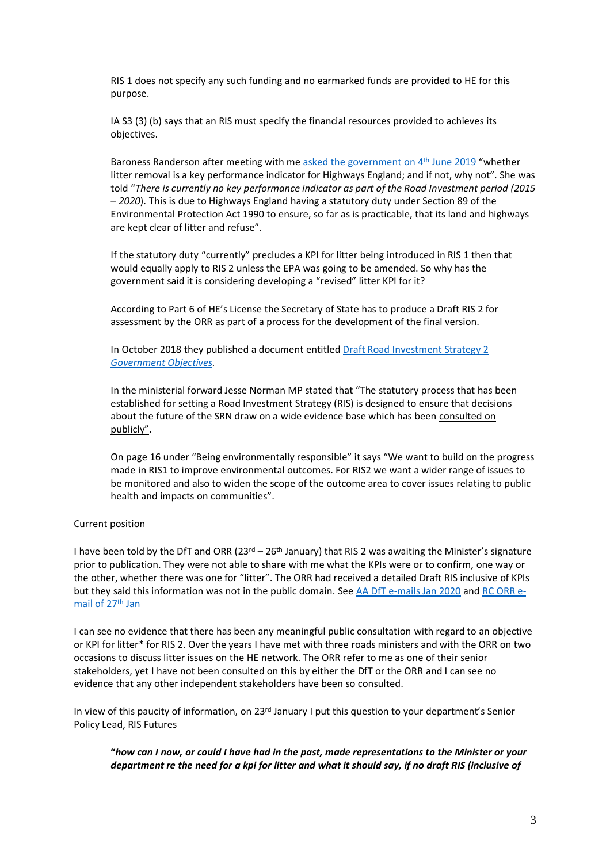RIS 1 does not specify any such funding and no earmarked funds are provided to HE for this purpose.

IA S3 (3) (b) says that an RIS must specify the financial resources provided to achieves its objectives.

Baroness Randerson after meeting with m[e asked the government](https://www.parliament.uk/business/publications/written-questions-answers-statements/written-question/Lords/2019-06-04/HL16043/) on 4<sup>th</sup> June 2019 "whether litter removal is a key performance indicator for Highways England; and if not, why not". She was told "*There is currently no key performance indicator as part of the Road Investment period (2015 – 2020*). This is due to Highways England having a statutory duty under Section 89 of the Environmental Protection Act 1990 to ensure, so far as is practicable, that its land and highways are kept clear of litter and refuse".

If the statutory duty "currently" precludes a KPI for litter being introduced in RIS 1 then that would equally apply to RIS 2 unless the EPA was going to be amended. So why has the government said it is considering developing a "revised" litter KPI for it?

According to Part 6 of HE's License the Secretary of State has to produce a Draft RIS 2 for assessment by the ORR as part of a process for the development of the final version.

In October 2018 they published a document entitle[d Draft Road Investment Strategy 2](https://assets.publishing.service.gov.uk/government/uploads/system/uploads/attachment_data/file/752066/draft-road-investment-strategy-2-governments-objectives.pdf)  *[Government Objectives.](https://assets.publishing.service.gov.uk/government/uploads/system/uploads/attachment_data/file/752066/draft-road-investment-strategy-2-governments-objectives.pdf)* 

In the ministerial forward Jesse Norman MP stated that "The statutory process that has been established for setting a Road Investment Strategy (RIS) is designed to ensure that decisions about the future of the SRN draw on a wide evidence base which has been consulted on publicly".

On page 16 under "Being environmentally responsible" it says "We want to build on the progress made in RIS1 to improve environmental outcomes. For RIS2 we want a wider range of issues to be monitored and also to widen the scope of the outcome area to cover issues relating to public health and impacts on communities".

#### Current position

I have been told by the DfT and ORR ( $23^{rd} - 26^{th}$  January) that RIS 2 was awaiting the Minister's signature prior to publication. They were not able to share with me what the KPIs were or to confirm, one way or the other, whether there was one for "litter". The ORR had received a detailed Draft RIS inclusive of KPIs but they said this information was not in the public domain. See [AA DfT e-mails Jan 2020](https://www.cleanhighways.co.uk/wp-content/uploads/2020/02/AA-DfT-e-mails-Jan-2020-4.pdf) and [RC ORR e](https://www.cleanhighways.co.uk/wp-content/uploads/2020/02/RC-ORR-e-mail-of-27th-Jan-2020.pdf)[mail of 27](https://www.cleanhighways.co.uk/wp-content/uploads/2020/02/RC-ORR-e-mail-of-27th-Jan-2020.pdf)th Jan

I can see no evidence that there has been any meaningful public consultation with regard to an objective or KPI for litter\* for RIS 2. Over the years I have met with three roads ministers and with the ORR on two occasions to discuss litter issues on the HE network. The ORR refer to me as one of their senior stakeholders, yet I have not been consulted on this by either the DfT or the ORR and I can see no evidence that any other independent stakeholders have been so consulted.

In view of this paucity of information, on 23<sup>rd</sup> January I put this question to your department's Senior Policy Lead, RIS Futures

**"***how can I now, or could I have had in the past, made representations to the Minister or your department re the need for a kpi for litter and what it should say, if no draft RIS (inclusive of*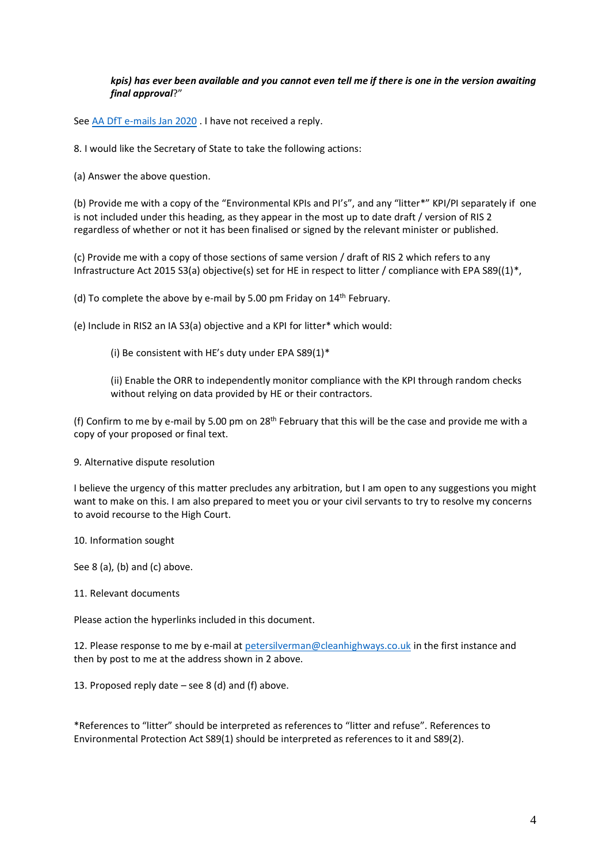## *kpis) has ever been available and you cannot even tell me if there is one in the version awaiting final approval*?"

Se[e AA DfT e-mails Jan 2020](https://www.cleanhighways.co.uk/wp-content/uploads/2020/02/AA-DfT-e-mails-Jan-2020-4.pdf) . I have not received a reply.

8. I would like the Secretary of State to take the following actions:

(a) Answer the above question.

(b) Provide me with a copy of the "Environmental KPIs and PI's", and any "litter\*" KPI/PI separately if one is not included under this heading, as they appear in the most up to date draft / version of RIS 2 regardless of whether or not it has been finalised or signed by the relevant minister or published.

(c) Provide me with a copy of those sections of same version / draft of RIS 2 which refers to any Infrastructure Act 2015 S3(a) objective(s) set for HE in respect to litter / compliance with EPA S89((1)\*,

(d) To complete the above by e-mail by 5.00 pm Friday on 14th February.

(e) Include in RIS2 an IA S3(a) objective and a KPI for litter\* which would:

(i) Be consistent with HE's duty under EPA S89(1)\*

(ii) Enable the ORR to independently monitor compliance with the KPI through random checks without relying on data provided by HE or their contractors.

(f) Confirm to me by e-mail by 5.00 pm on 28<sup>th</sup> February that this will be the case and provide me with a copy of your proposed or final text.

9. Alternative dispute resolution

I believe the urgency of this matter precludes any arbitration, but I am open to any suggestions you might want to make on this. I am also prepared to meet you or your civil servants to try to resolve my concerns to avoid recourse to the High Court.

10. Information sought

See 8 (a), (b) and (c) above.

11. Relevant documents

Please action the hyperlinks included in this document.

12. Please response to me by e-mail a[t petersilverman@cleanhighways.co.uk](mailto:petersilverman@cleanhighways.co.uk) in the first instance and then by post to me at the address shown in 2 above.

13. Proposed reply date  $-$  see 8 (d) and (f) above.

\*References to "litter" should be interpreted as references to "litter and refuse". References to Environmental Protection Act S89(1) should be interpreted as references to it and S89(2).